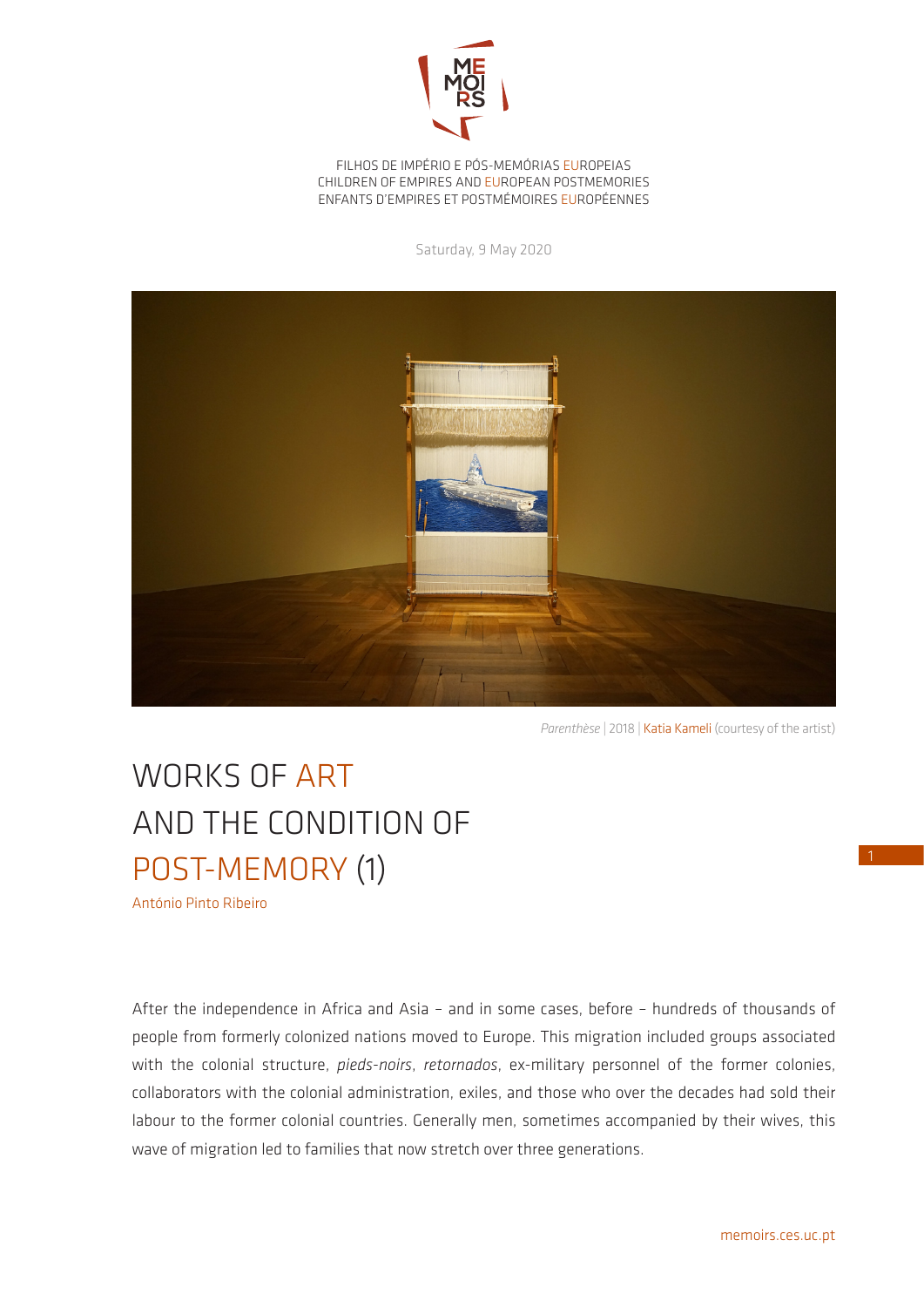

FILHOS DE IMPÉRIO E PÓS-MEMÓRIAS EUROPEIAS CHILDREN OF EMPIRES AND EUROPEAN POSTMEMORIES ENFANTS D'EMPIRES ET POSTMÉMOIRES EUROPÉENNES

Saturday, 9 May 2020



Parenthèse | 2018 | Katia Kameli (courtesy of the artist)

## WORKS OF ART AND THE CONDITION OF POST-MEMORY (1)

António Pinto Ribeiro

After the independence in Africa and Asia – and in some cases, before – hundreds of thousands of people from formerly colonized nations moved to Europe. This migration included groups associated with the colonial structure, *pieds-noirs*, *retornados*, ex-military personnel of the former colonies, collaborators with the colonial administration, exiles, and those who over the decades had sold their labour to the former colonial countries. Generally men, sometimes accompanied by their wives, this wave of migration led to families that now stretch over three generations.

1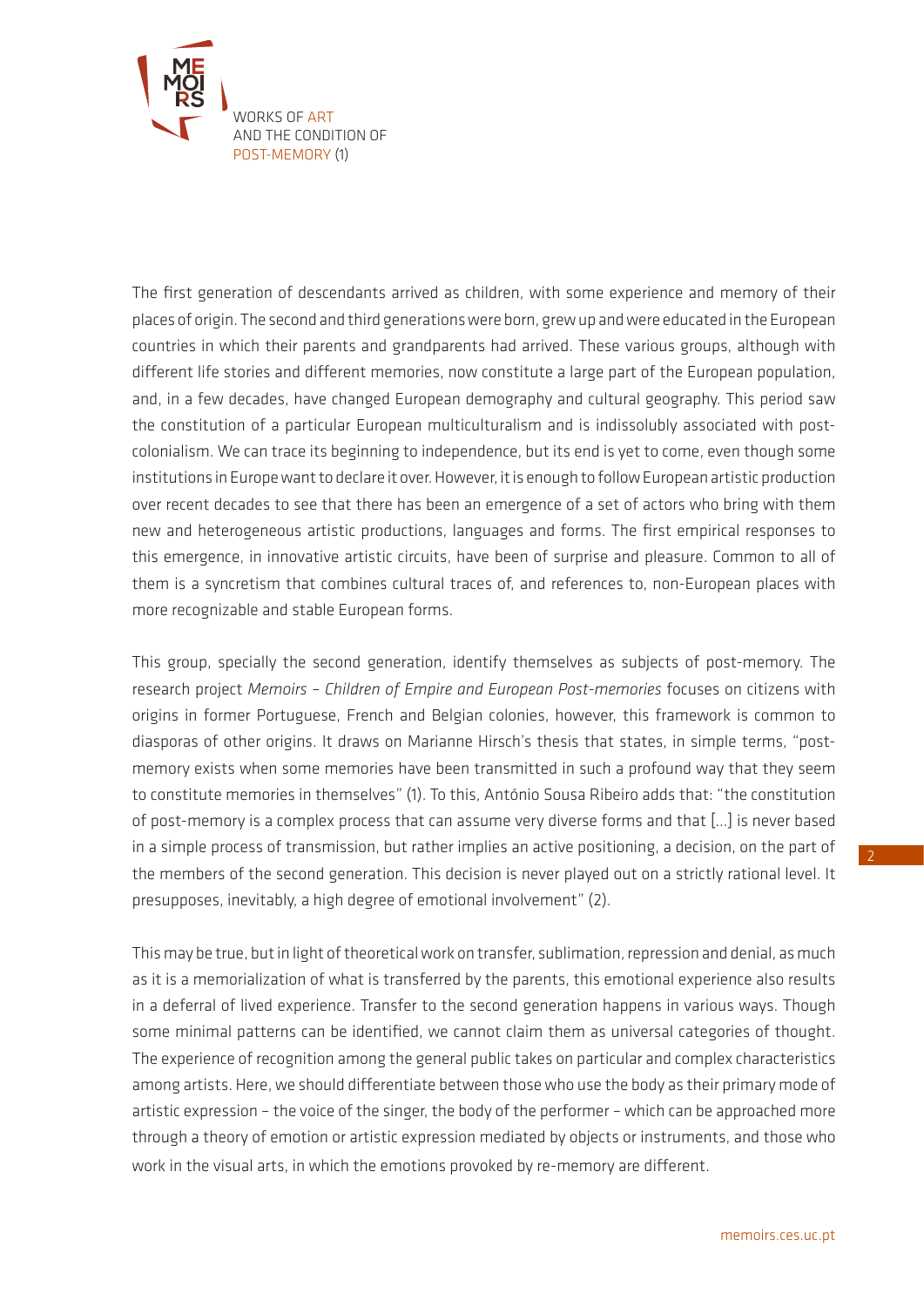

The first generation of descendants arrived as children, with some experience and memory of their places of origin. The second and third generations were born, grew up and were educated in the European countries in which their parents and grandparents had arrived. These various groups, although with different life stories and different memories, now constitute a large part of the European population, and, in a few decades, have changed European demography and cultural geography. This period saw the constitution of a particular European multiculturalism and is indissolubly associated with postcolonialism. We can trace its beginning to independence, but its end is yet to come, even though some institutions in Europe want to declare it over. However, it is enough to follow European artistic production over recent decades to see that there has been an emergence of a set of actors who bring with them new and heterogeneous artistic productions, languages and forms. The first empirical responses to this emergence, in innovative artistic circuits, have been of surprise and pleasure. Common to all of them is a syncretism that combines cultural traces of, and references to, non-European places with more recognizable and stable European forms.

This group, specially the second generation, identify themselves as subjects of post-memory. The research project *Memoirs – Children of Empire and European Post-memories* focuses on citizens with origins in former Portuguese, French and Belgian colonies, however, this framework is common to diasporas of other origins. It draws on Marianne Hirsch's thesis that states, in simple terms, "postmemory exists when some memories have been transmitted in such a profound way that they seem to constitute memories in themselves" (1). To this, António Sousa Ribeiro adds that: "the constitution of post-memory is a complex process that can assume very diverse forms and that […] is never based in a simple process of transmission, but rather implies an active positioning, a decision, on the part of the members of the second generation. This decision is never played out on a strictly rational level. It presupposes, inevitably, a high degree of emotional involvement" (2).

This may be true, but in light of theoretical work on transfer, sublimation, repression and denial, as much as it is a memorialization of what is transferred by the parents, this emotional experience also results in a deferral of lived experience. Transfer to the second generation happens in various ways. Though some minimal patterns can be identified, we cannot claim them as universal categories of thought. The experience of recognition among the general public takes on particular and complex characteristics among artists. Here, we should differentiate between those who use the body as their primary mode of artistic expression – the voice of the singer, the body of the performer – which can be approached more through a theory of emotion or artistic expression mediated by objects or instruments, and those who work in the visual arts, in which the emotions provoked by re-memory are different.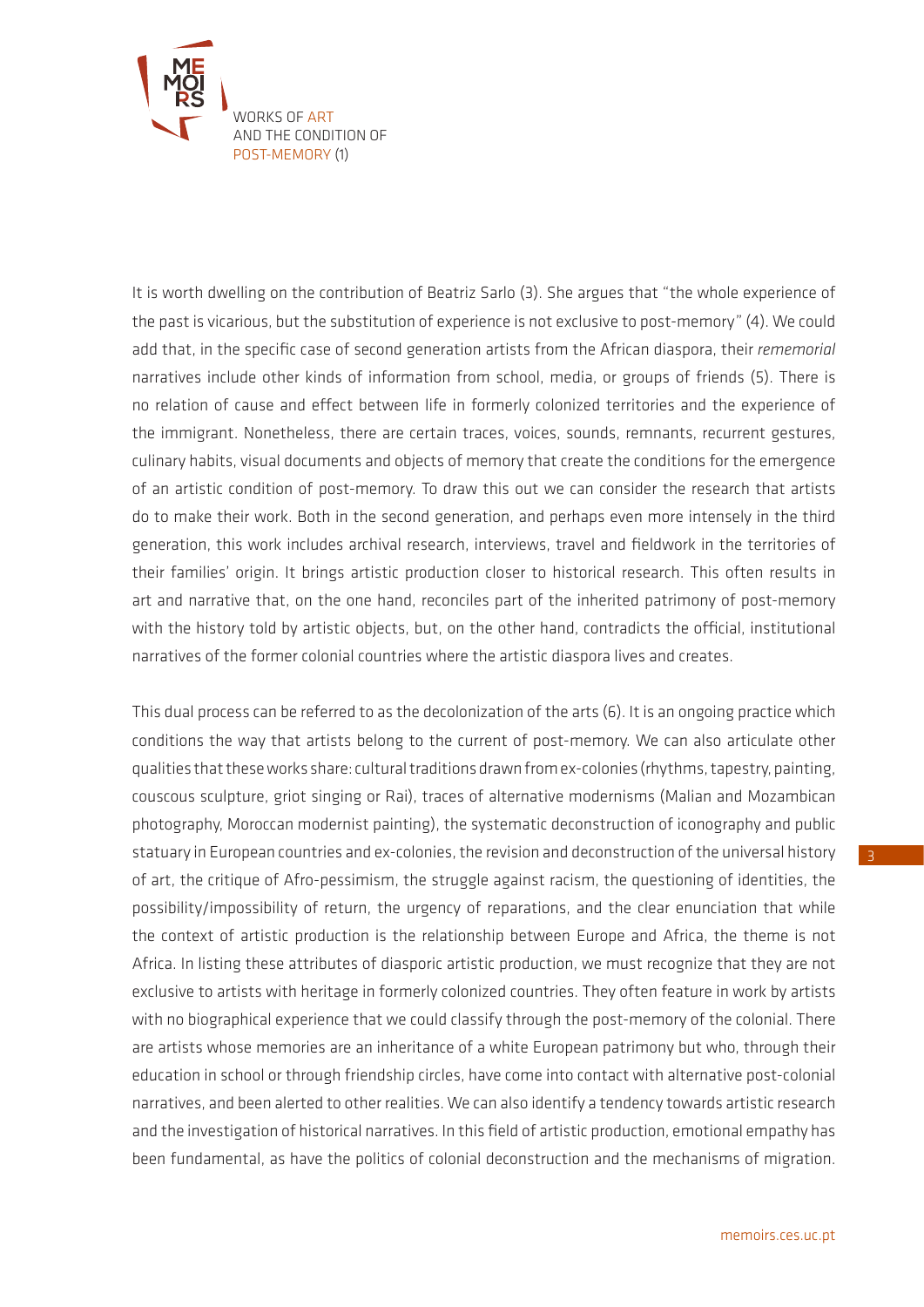

It is worth dwelling on the contribution of Beatriz Sarlo (3). She argues that "the whole experience of the past is vicarious, but the substitution of experience is not exclusive to post-memory" (4). We could add that, in the specific case of second generation artists from the African diaspora, their *rememorial*  narratives include other kinds of information from school, media, or groups of friends (5). There is no relation of cause and effect between life in formerly colonized territories and the experience of the immigrant. Nonetheless, there are certain traces, voices, sounds, remnants, recurrent gestures, culinary habits, visual documents and objects of memory that create the conditions for the emergence of an artistic condition of post-memory. To draw this out we can consider the research that artists do to make their work. Both in the second generation, and perhaps even more intensely in the third generation, this work includes archival research, interviews, travel and fieldwork in the territories of their families' origin. It brings artistic production closer to historical research. This often results in art and narrative that, on the one hand, reconciles part of the inherited patrimony of post-memory with the history told by artistic objects, but, on the other hand, contradicts the official, institutional narratives of the former colonial countries where the artistic diaspora lives and creates.

This dual process can be referred to as the decolonization of the arts (6). It is an ongoing practice which conditions the way that artists belong to the current of post-memory. We can also articulate other qualities that these works share: cultural traditions drawn from ex-colonies (rhythms, tapestry, painting, couscous sculpture, griot singing or Rai), traces of alternative modernisms (Malian and Mozambican photography, Moroccan modernist painting), the systematic deconstruction of iconography and public statuary in European countries and ex-colonies, the revision and deconstruction of the universal history of art, the critique of Afro-pessimism, the struggle against racism, the questioning of identities, the possibility/impossibility of return, the urgency of reparations, and the clear enunciation that while the context of artistic production is the relationship between Europe and Africa, the theme is not Africa. In listing these attributes of diasporic artistic production, we must recognize that they are not exclusive to artists with heritage in formerly colonized countries. They often feature in work by artists with no biographical experience that we could classify through the post-memory of the colonial. There are artists whose memories are an inheritance of a white European patrimony but who, through their education in school or through friendship circles, have come into contact with alternative post-colonial narratives, and been alerted to other realities. We can also identify a tendency towards artistic research and the investigation of historical narratives. In this field of artistic production, emotional empathy has been fundamental, as have the politics of colonial deconstruction and the mechanisms of migration.